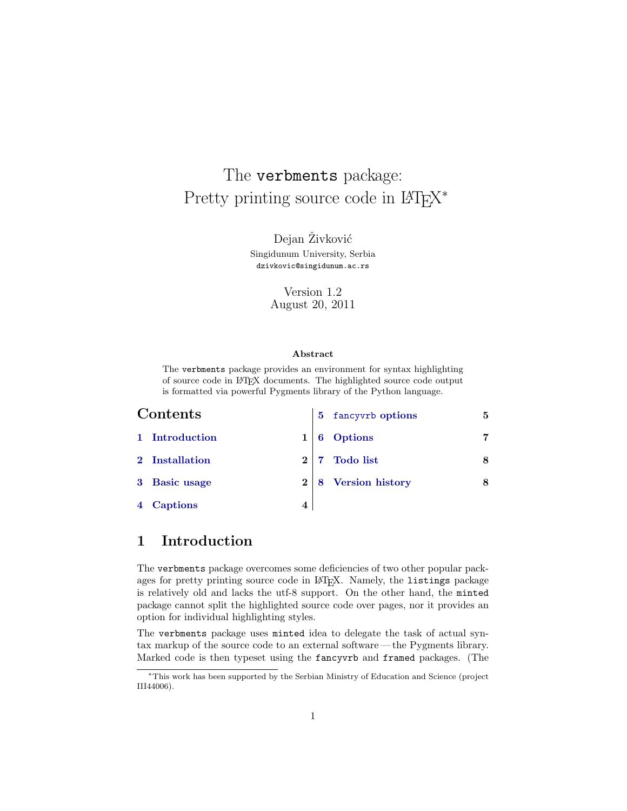# The verbments package: Pretty printing source code in L<sup>AT</sup>E<sup>X\*</sup>

Dejan Živković Singidunum University, Serbia [dzivkovic@singidunum.ac.rs](mailto:dzivkovic@singidunum.ac.rs)

> Version 1.2 August 20, 2011

#### **Abstract**

The verbments package provides an environment for syntax highlighting of source code in LATEX documents. The highlighted source code output is formatted via powerful Pygments library of the Python language.

| Contents |                |           | 5 fancyvrb options    | 5 |
|----------|----------------|-----------|-----------------------|---|
|          | 1 Introduction |           | Options               |   |
|          | 2 Installation | $2\mid 7$ | <b>Todo</b> list      |   |
|          | 3 Basic usage  |           | 2   8 Version history |   |
|          | 4 Captions     |           |                       |   |

## <span id="page-0-0"></span>**1 Introduction**

The verbments package overcomes some deficiencies of two other popular packages for pretty printing source code in LAT<sub>EX</sub>. Namely, the listings package is relatively old and lacks the utf-8 support. On the other hand, the minted package cannot split the highlighted source code over pages, nor it provides an option for individual highlighting styles.

The verbments package uses minted idea to delegate the task of actual syntax markup of the source code to an external software— the Pygments library. Marked code is then typeset using the fancyvrb and framed packages. (The

*<sup>∗</sup>*This work has been supported by the Serbian Ministry of Education and Science (project III44006).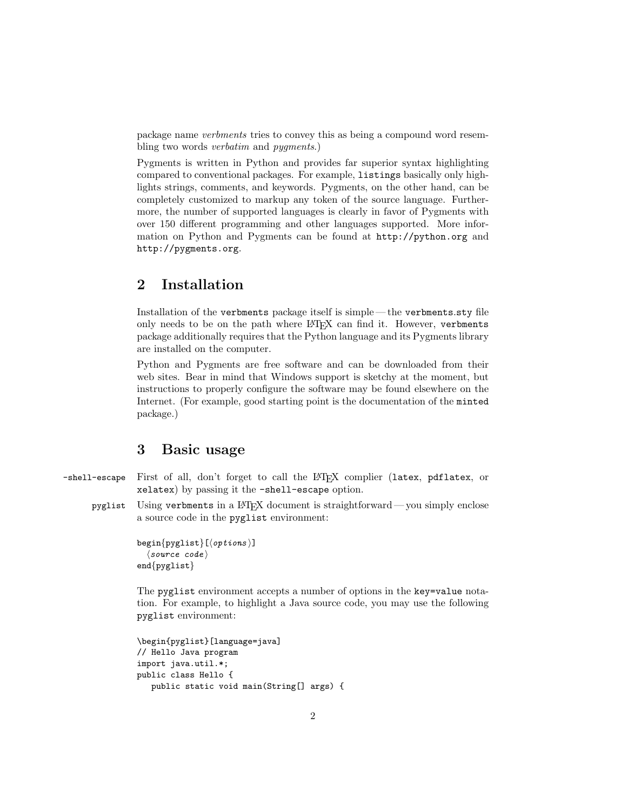package name *verbments* tries to convey this as being a compound word resembling two words *verbatim* and *pygments*.)

Pygments is written in Python and provides far superior syntax highlighting compared to conventional packages. For example, listings basically only highlights strings, comments, and keywords. Pygments, on the other hand, can be completely customized to markup any token of the source language. Furthermore, the number of supported languages is clearly in favor of Pygments with over 150 different programming and other languages supported. More information on Python and Pygments can be found at <http://python.org> and <http://pygments.org>.

#### <span id="page-1-0"></span>**2 Installation**

Installation of the verbments package itself is simple — the verbments.sty file only needs to be on the path where L<sup>AT</sup>EX can find it. However, verbments package additionally requires that the Python language and its Pygments library are installed on the computer.

Python and Pygments are free software and can be downloaded from their web sites. Bear in mind that Windows support is sketchy at the moment, but instructions to properly configure the software may be found elsewhere on the Internet. (For example, good starting point is the documentation of the minted package.)

#### <span id="page-1-1"></span>**3 Basic usage**

- -shell-escape First of all, don't forget to call the LATEX complier (latex, pdflatex, or xelatex) by passing it the -shell-escape option.
	- pyglist Using verbments in a LATEX document is straightforward— you simply enclose a source code in the pyglist environment:

```
begin{pyglist}[⟨options ⟩]
  ⟨source code ⟩
end{pyglist}
```
The pyglist environment accepts a number of options in the key=value notation. For example, to highlight a Java source code, you may use the following pyglist environment:

```
\begin{pyglist}[language=java]
// Hello Java program
import java.util.*;
public class Hello {
   public static void main(String[] args) {
```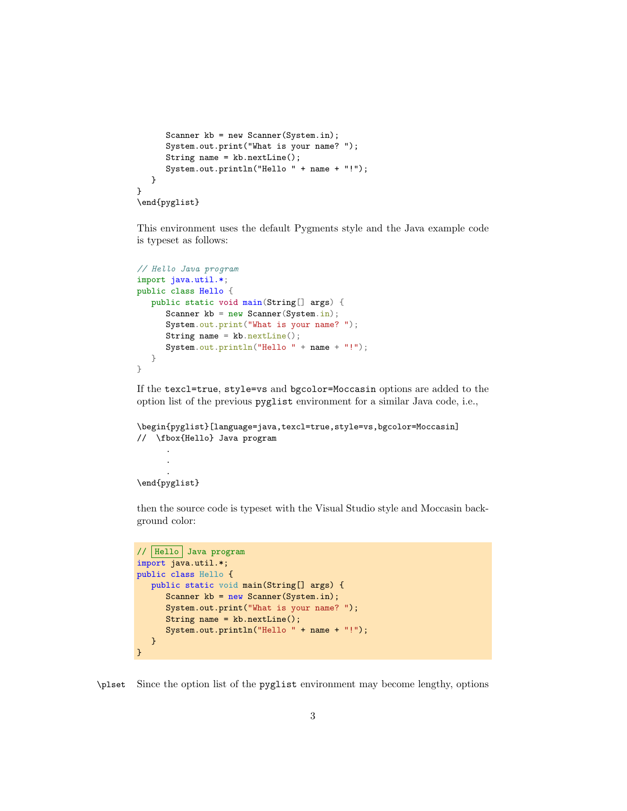```
Scanner kb = new Scanner(System.in);
      System.out.print("What is your name? ");
      String name = kb.nextLine();
      System.out.println("Hello " + name + "!");
   }
}
\end{pyglist}
```
This environment uses the default Pygments style and the Java example code is typeset as follows:

```
// Hello Java program
import java.util.*;
public class Hello {
  public static void main(String[] args) {
     Scanner kb = new Scanner(System.in);System.out.print("What is your name? ");
      String name = kb.nextLine();
      System.out.println("Hello " + name + "!");
  }
}
```
If the texcl=true, style=vs and bgcolor=Moccasin options are added to the option list of the previous pyglist environment for a similar Java code, i.e.,

```
\begin{pyglist}[language=java,texcl=true,style=vs,bgcolor=Moccasin]
// \fbox{Hello} Java program
      .
```

```
.
\end{pyglist}
```
.

then the source code is typeset with the Visual Studio style and Moccasin background color:

```
// Hello Java program
import java.util.*;
public class Hello {
   public static void main(String[] args) {
      Scanner kb = new Scanner(System.in);
      System.out.print("What is your name? ");
      String name = kb.nextLine();
      System.out.println("Hello " + name + "!");
   }
}
```
\plset Since the option list of the pyglist environment may become lengthy, options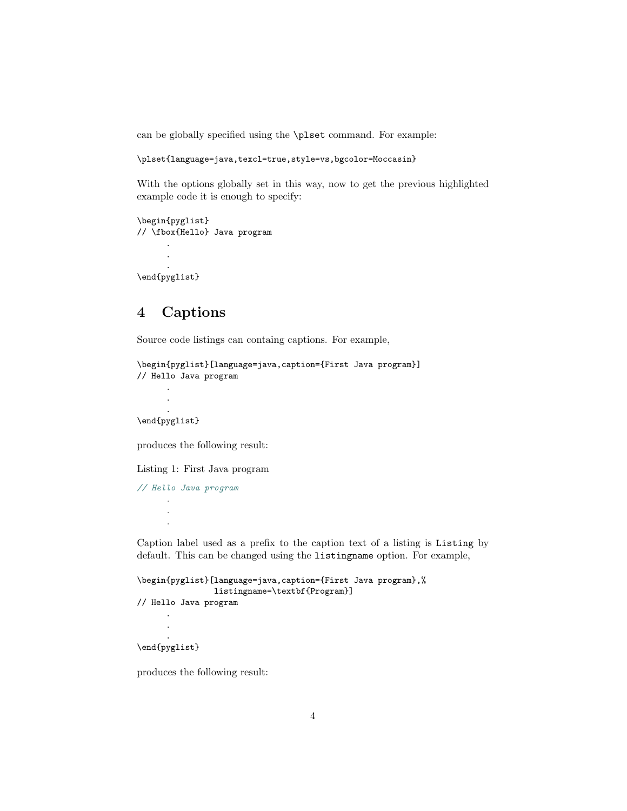can be globally specified using the \plset command. For example:

```
\plset{language=java,texcl=true,style=vs,bgcolor=Moccasin}
```
With the options globally set in this way, now to get the previous highlighted example code it is enough to specify:

```
\begin{pyglist}
// \fbox{Hello} Java program
      .
      .
      .
\end{pyglist}
```
## <span id="page-3-0"></span>**4 Captions**

Source code listings can containg captions. For example,

```
\begin{pyglist}[language=java,caption={First Java program}]
// Hello Java program
```
. \end{pyglist}

. .

produces the following result:

Listing 1: First Java program

```
// Hello Java program
       .
       .
       .
```
Caption label used as a prefix to the caption text of a listing is Listing by default. This can be changed using the listingname option. For example,

```
\begin{pyglist}[language=java,caption={First Java program},%
                listingname=\textbf{Program}]
// Hello Java program
      .
      .
      .
\end{pyglist}
```
produces the following result: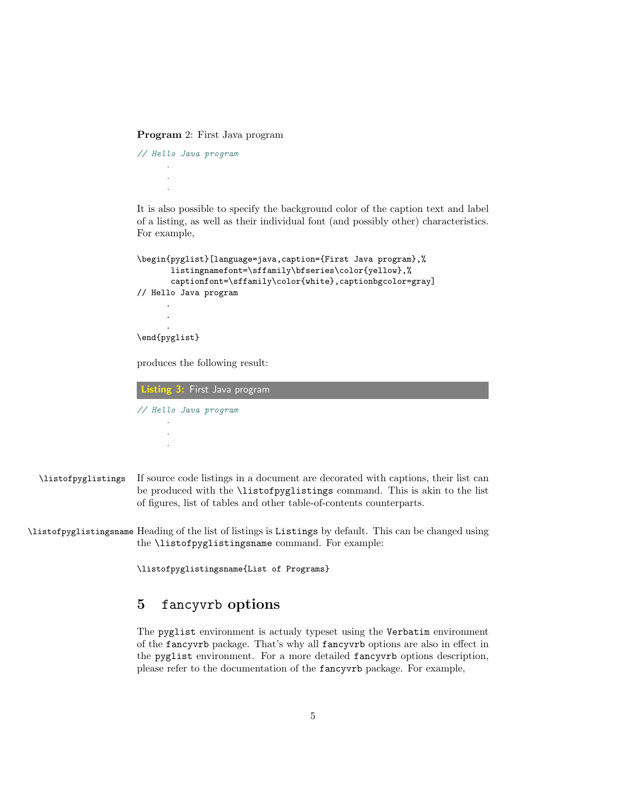**Program** 2: First Java program

*// Hello Java program* . . .

It is also possible to specify the background color of the caption text and label of a listing, as well as their individual font (and possibly other) characteristics. For example,

```
\begin{pyglist}[language=java,caption={First Java program},%
       listingnamefont=\sffamily\bfseries\color{yellow},%
       captionfont=\sffamily\color{white},captionbgcolor=gray]
// Hello Java program
      .
      .
      .
\end{pyglist}
produces the following result:
```
**Listing 3:** First Java program *// Hello Java program* . .

.

- \listofpyglistings If source code listings in a document are decorated with captions, their list can be produced with the \listofpyglistings command. This is akin to the list of figures, list of tables and other table-of-contents counterparts.
- \listofpyglistingsname Heading of the list of listings is Listings by default. This can be changed using the \listofpyglistingsname command. For example:

\listofpyglistingsname{List of Programs}

#### <span id="page-4-0"></span>**5** fancyvrb **options**

The pyglist environment is actualy typeset using the Verbatim environment of the fancyvrb package. That's why all fancyvrb options are also in effect in the pyglist environment. For a more detailed fancyvrb options description, please refer to the documentation of the fancyvrb package. For example,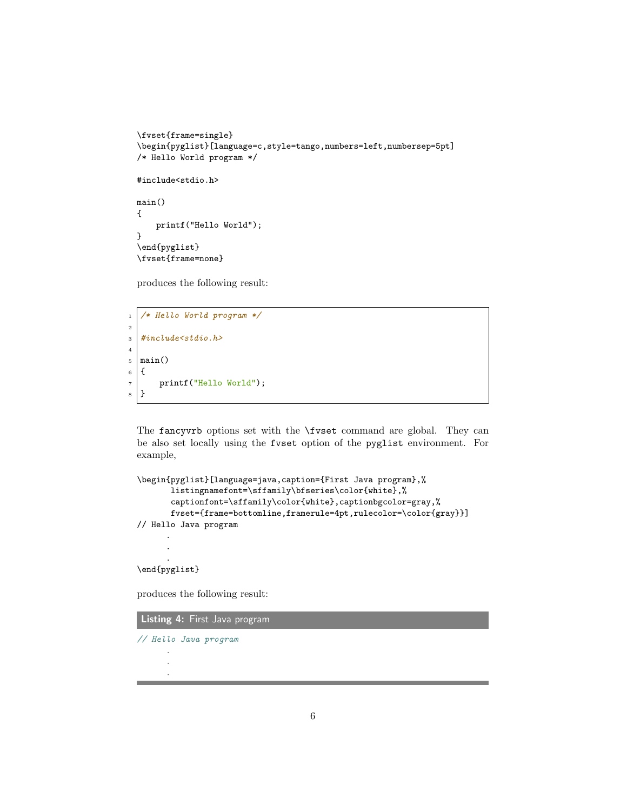```
\fvset{frame=single}
\begin{pyglist}[language=c,style=tango,numbers=left,numbersep=5pt]
/* Hello World program */
#include<stdio.h>
main()
{
   printf("Hello World");
}
\end{pyglist}
\fvset{frame=none}
```
produces the following result:

```
1 /* Hello World program */
2
3 #include<stdio.h>
4
5 \mid \text{main}()6 \mid \mathcal{E}7 printf("Hello World");
8 }
```
The fancyvrb options set with the \fvset command are global. They can be also set locally using the fvset option of the pyglist environment. For example,

```
\begin{pyglist}[language=java,caption={First Java program},%
      listingnamefont=\sffamily\bfseries\color{white},%
      captionfont=\sffamily\color{white},captionbgcolor=gray,%
      fvset={frame=bottomline,framerule=4pt,rulecolor=\color{gray}}]
// Hello Java program
      .
      .
      .
```
\end{pyglist}

produces the following result:

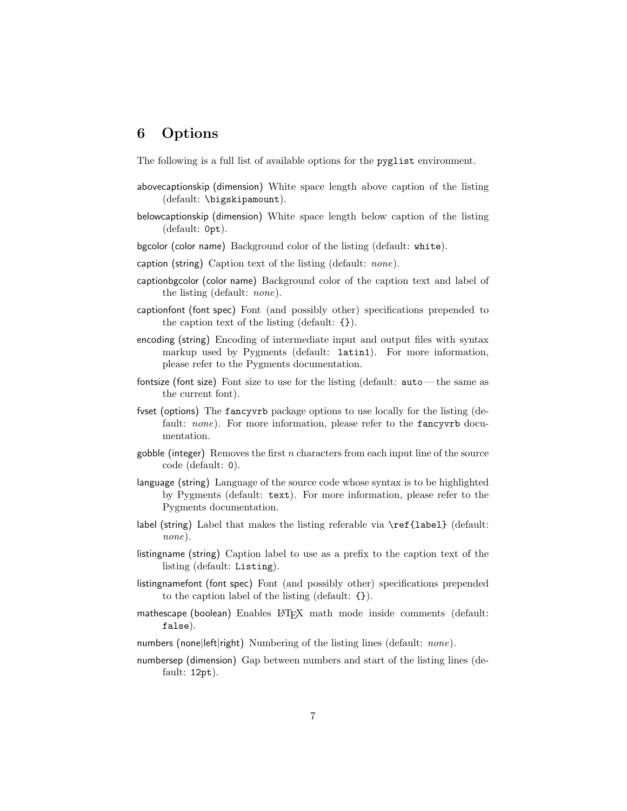## <span id="page-6-0"></span>**6 Options**

The following is a full list of available options for the pyglist environment.

- abovecaptionskip (dimension) White space length above caption of the listing (default: \bigskipamount).
- belowcaptionskip (dimension) White space length below caption of the listing (default: 0pt).
- bgcolor (color name) Background color of the listing (default: white).
- caption (string) Caption text of the listing (default: *none*).
- captionbgcolor (color name) Background color of the caption text and label of the listing (default: *none*).
- captionfont (font spec) Font (and possibly other) specifications prepended to the caption text of the listing (default: {}).
- encoding (string) Encoding of intermediate input and output files with syntax markup used by Pygments (default: latin1). For more information, please refer to the Pygments documentation.
- fontsize (font size) Font size to use for the listing (default: auto— the same as the current font).
- fvset (options) The fancyvrb package options to use locally for the listing (default: *none*). For more information, please refer to the **fancyvrb** documentation.
- gobble (integer) Removes the first *n* characters from each input line of the source code (default: 0).
- language (string) Language of the source code whose syntax is to be highlighted by Pygments (default: text). For more information, please refer to the Pygments documentation.
- label (string) Label that makes the listing referable via \ref{label} (default: *none*).
- listingname (string) Caption label to use as a prefix to the caption text of the listing (default: Listing).
- listingnamefont (font spec) Font (and possibly other) specifications prepended to the caption label of the listing (default: {}).
- mathescape (boolean) Enables L<sup>AT</sup>FX math mode inside comments (default: false).
- numbers (none*|*left*|*right) Numbering of the listing lines (default: *none*).
- numbersep (dimension) Gap between numbers and start of the listing lines (default: 12pt).